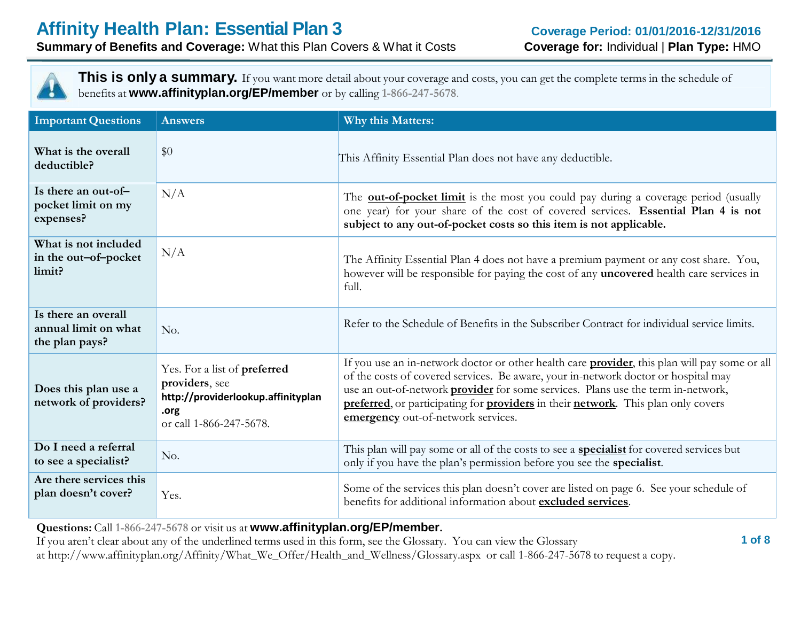

**This is only a summary.** If you want more detail about your coverage and costs, you can get the complete terms in the schedule of benefits at **www.affinityplan.org/EP/member** or by calling **1-866-247-5678**.

| <b>Important Questions</b>                                    | <b>Answers</b>                                                                                                          | Why this Matters:                                                                                                                                                                                                                                                                                                                                                                                                 |
|---------------------------------------------------------------|-------------------------------------------------------------------------------------------------------------------------|-------------------------------------------------------------------------------------------------------------------------------------------------------------------------------------------------------------------------------------------------------------------------------------------------------------------------------------------------------------------------------------------------------------------|
| What is the overall<br>deductible?                            | \$0                                                                                                                     | This Affinity Essential Plan does not have any deductible.                                                                                                                                                                                                                                                                                                                                                        |
| Is there an out-of-<br>pocket limit on my<br>expenses?        | N/A                                                                                                                     | The <b>out-of-pocket limit</b> is the most you could pay during a coverage period (usually<br>one year) for your share of the cost of covered services. Essential Plan 4 is not<br>subject to any out-of-pocket costs so this item is not applicable.                                                                                                                                                             |
| What is not included<br>in the out-of-pocket<br>limit?        | N/A                                                                                                                     | The Affinity Essential Plan 4 does not have a premium payment or any cost share. You,<br>however will be responsible for paying the cost of any uncovered health care services in<br>full.                                                                                                                                                                                                                        |
| Is there an overall<br>annual limit on what<br>the plan pays? | No.                                                                                                                     | Refer to the Schedule of Benefits in the Subscriber Contract for individual service limits.                                                                                                                                                                                                                                                                                                                       |
| Does this plan use a<br>network of providers?                 | Yes. For a list of preferred<br>providers, see<br>http://providerlookup.affinityplan<br>.org<br>or call 1-866-247-5678. | If you use an in-network doctor or other health care <b>provider</b> , this plan will pay some or all<br>of the costs of covered services. Be aware, your in-network doctor or hospital may<br>use an out-of-network <b>provider</b> for some services. Plans use the term in-network,<br>preferred, or participating for providers in their network. This plan only covers<br>emergency out-of-network services. |
| Do I need a referral<br>to see a specialist?                  | No.                                                                                                                     | This plan will pay some or all of the costs to see a <b>specialist</b> for covered services but<br>only if you have the plan's permission before you see the specialist.                                                                                                                                                                                                                                          |
| Are there services this<br>plan doesn't cover?                | Yes.                                                                                                                    | Some of the services this plan doesn't cover are listed on page 6. See your schedule of<br>benefits for additional information about excluded services.                                                                                                                                                                                                                                                           |

**Questions:** Call **1-866-247-5678** or visit us at **www.affinityplan.org/EP/member.**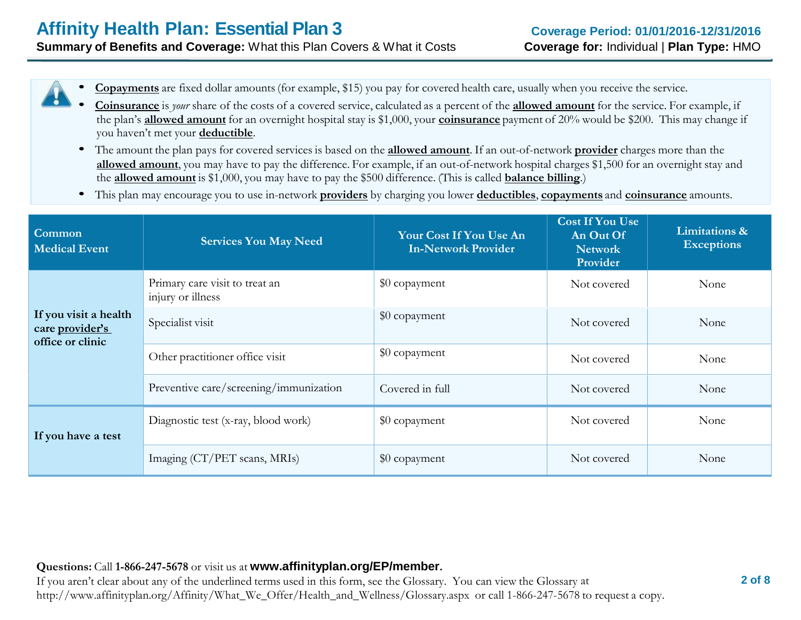• **Copayments** are fixed dollar amounts(for example, \$15) you pay for covered health care, usually when you receive the service.

- **Coinsurance** is *your* share of the costs of <sup>a</sup> covered service, calculated as a percent of the **allowed amount** for the service. For example, if the plan's **allowed amount** for an overnight hospital stay is \$1,000, your **coinsurance** payment of 20% would be \$200. This may change if you haven't met your **deductible**.
- The amount the plan pays for covered services is based on the **allowed amount**. If an out-of-network **provider** charges more than the **allowed amount**, you may have to pay the difference. For example, if an out-of-network hospital charges \$1,500 for an overnight stay and the **allowed amount** is \$1,000, you may have to pay the \$500 difference. (This is called **balance billing**.)
- This plan may encourage you to use in-network **providers** by charging you lower **deductibles**, **copayments** and **coinsurance** amounts.

| Common<br><b>Medical Event</b>                               | <b>Services You May Need</b>                        | Your Cost If You Use An<br><b>In-Network Provider</b> | <b>Cost If You Use</b><br>An Out Of<br><b>Network</b><br>Provider | Limitations &<br><b>Exceptions</b> |
|--------------------------------------------------------------|-----------------------------------------------------|-------------------------------------------------------|-------------------------------------------------------------------|------------------------------------|
|                                                              | Primary care visit to treat an<br>injury or illness | \$0 copayment                                         | Not covered                                                       | None                               |
| If you visit a health<br>care provider's<br>office or clinic | Specialist visit                                    | \$0 copayment                                         | Not covered                                                       | None                               |
|                                                              | Other practitioner office visit                     | \$0 copayment                                         | Not covered                                                       | None                               |
|                                                              | Preventive care/screening/immunization              | Covered in full                                       | Not covered                                                       | None                               |
| If you have a test                                           | Diagnostic test (x-ray, blood work)                 | \$0 copayment                                         | Not covered                                                       | None                               |
|                                                              | Imaging (CT/PET scans, MRIs)                        | \$0 copayment                                         | Not covered                                                       | None                               |

#### **Questions:** Call **1-866-247-5678** or visit us at **www.affinityplan.org/EP/member.**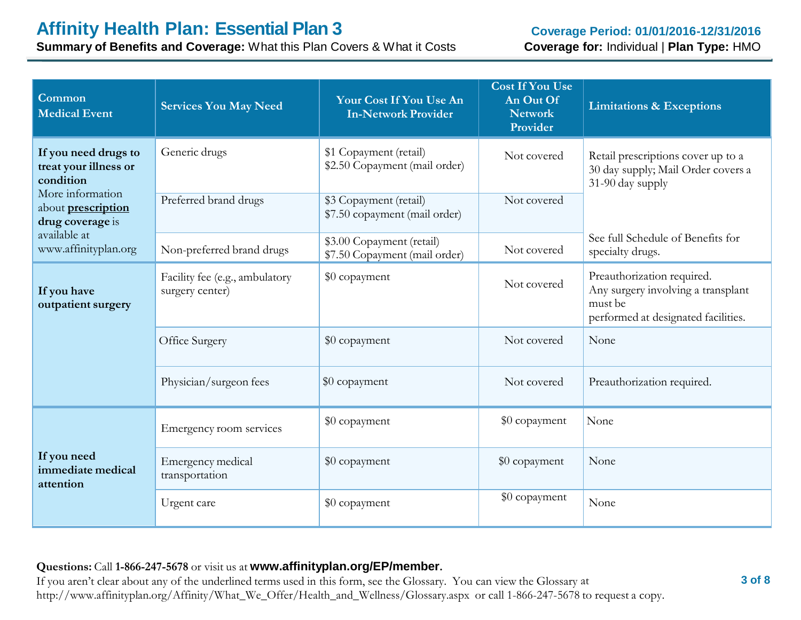**Summary of Benefits and Coverage:** What this Plan Covers & What it Costs

| Common<br><b>Medical Event</b>                                    | <b>Services You May Need</b>                      | Your Cost If You Use An<br><b>In-Network Provider</b>      | <b>Cost If You Use</b><br>An Out Of<br><b>Network</b><br>Provider | <b>Limitations &amp; Exceptions</b>                                                                                |
|-------------------------------------------------------------------|---------------------------------------------------|------------------------------------------------------------|-------------------------------------------------------------------|--------------------------------------------------------------------------------------------------------------------|
| If you need drugs to<br>treat your illness or<br>condition        | Generic drugs                                     | \$1 Copayment (retail)<br>\$2.50 Copayment (mail order)    | Not covered                                                       | Retail prescriptions cover up to a<br>30 day supply; Mail Order covers a<br>31-90 day supply                       |
| More information<br>about <b>prescription</b><br>drug coverage is | Preferred brand drugs                             | \$3 Copayment (retail)<br>\$7.50 copayment (mail order)    | Not covered                                                       |                                                                                                                    |
| available at<br>www.affinityplan.org                              | Non-preferred brand drugs                         | \$3.00 Copayment (retail)<br>\$7.50 Copayment (mail order) | Not covered                                                       | See full Schedule of Benefits for<br>specialty drugs.                                                              |
| If you have<br>outpatient surgery                                 | Facility fee (e.g., ambulatory<br>surgery center) | \$0 copayment                                              | Not covered                                                       | Preauthorization required.<br>Any surgery involving a transplant<br>must be<br>performed at designated facilities. |
|                                                                   | Office Surgery                                    | \$0 copayment                                              | Not covered                                                       | None                                                                                                               |
|                                                                   | Physician/surgeon fees                            | \$0 copayment                                              | Not covered                                                       | Preauthorization required.                                                                                         |
|                                                                   | Emergency room services                           | \$0 copayment                                              | \$0 copayment                                                     | None                                                                                                               |
| If you need<br>immediate medical<br>attention                     | Emergency medical<br>transportation               | \$0 copayment                                              | \$0 copayment                                                     | None                                                                                                               |
|                                                                   | Urgent care                                       | \$0 copayment                                              | \$0 copayment                                                     | None                                                                                                               |

#### **Questions:** Call **1-866-247-5678** or visit us at **www.affinityplan.org/EP/member.**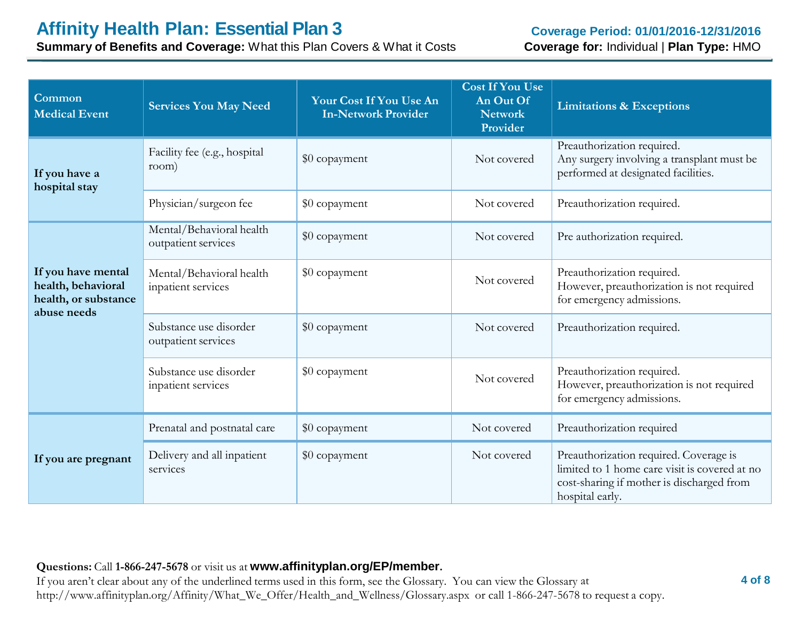**Summary of Benefits and Coverage:** What this Plan Covers & What it Costs

| Common<br><b>Medical Event</b>                                                  | <b>Services You May Need</b>                    | Your Cost If You Use An<br><b>In-Network Provider</b> | <b>Cost If You Use</b><br>An Out Of<br><b>Network</b><br>Provider | <b>Limitations &amp; Exceptions</b>                                                                                                                     |
|---------------------------------------------------------------------------------|-------------------------------------------------|-------------------------------------------------------|-------------------------------------------------------------------|---------------------------------------------------------------------------------------------------------------------------------------------------------|
| If you have a<br>hospital stay                                                  | Facility fee (e.g., hospital<br>room)           | \$0 copayment                                         | Not covered                                                       | Preauthorization required.<br>Any surgery involving a transplant must be<br>performed at designated facilities.                                         |
|                                                                                 | Physician/surgeon fee                           | \$0 copayment                                         | Not covered                                                       | Preauthorization required.                                                                                                                              |
|                                                                                 | Mental/Behavioral health<br>outpatient services | \$0 copayment                                         | Not covered                                                       | Pre authorization required.                                                                                                                             |
| If you have mental<br>health, behavioral<br>health, or substance<br>abuse needs | Mental/Behavioral health<br>inpatient services  | \$0 copayment                                         | Not covered                                                       | Preauthorization required.<br>However, preauthorization is not required<br>for emergency admissions.                                                    |
|                                                                                 | Substance use disorder<br>outpatient services   | \$0 copayment                                         | Not covered                                                       | Preauthorization required.                                                                                                                              |
|                                                                                 | Substance use disorder<br>inpatient services    | \$0 copayment                                         | Not covered                                                       | Preauthorization required.<br>However, preauthorization is not required<br>for emergency admissions.                                                    |
|                                                                                 | Prenatal and postnatal care                     | \$0 copayment                                         | Not covered                                                       | Preauthorization required                                                                                                                               |
| If you are pregnant                                                             | Delivery and all inpatient<br>services          | \$0 copayment                                         | Not covered                                                       | Preauthorization required. Coverage is<br>limited to 1 home care visit is covered at no<br>cost-sharing if mother is discharged from<br>hospital early. |

#### **Questions:** Call **1-866-247-5678** or visit us at **www.affinityplan.org/EP/member.**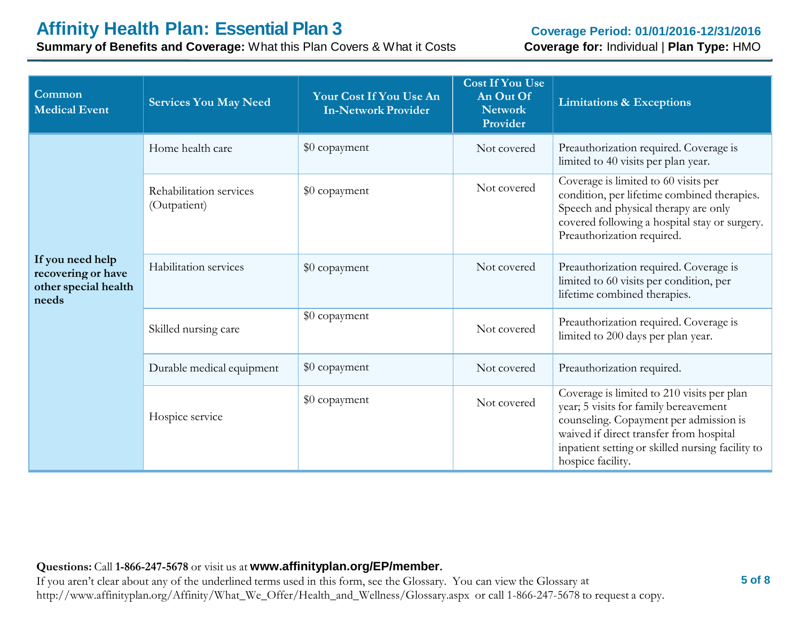# **Affinity Health Plan: Essential Plan 3**

**Summary of Benefits and Coverage:** What this Plan Covers & What it Costs

#### **Coverage Period: 01/01/2016-12/31/2016 Coverage for:** Individual | **Plan Type:** HMO

| Common<br><b>Medical Event</b>                                          | <b>Services You May Need</b>            | Your Cost If You Use An<br><b>In-Network Provider</b> | <b>Cost If You Use</b><br>An Out Of<br><b>Network</b><br>Provider | <b>Limitations &amp; Exceptions</b>                                                                                                                                                                                                               |
|-------------------------------------------------------------------------|-----------------------------------------|-------------------------------------------------------|-------------------------------------------------------------------|---------------------------------------------------------------------------------------------------------------------------------------------------------------------------------------------------------------------------------------------------|
|                                                                         | Home health care                        | \$0 copayment                                         | Not covered                                                       | Preauthorization required. Coverage is<br>limited to 40 visits per plan year.                                                                                                                                                                     |
|                                                                         | Rehabilitation services<br>(Outpatient) | \$0 copayment                                         | Not covered                                                       | Coverage is limited to 60 visits per<br>condition, per lifetime combined therapies.<br>Speech and physical therapy are only<br>covered following a hospital stay or surgery.<br>Preauthorization required.                                        |
| If you need help<br>recovering or have<br>other special health<br>needs | Habilitation services                   | \$0 copayment                                         | Not covered                                                       | Preauthorization required. Coverage is<br>limited to 60 visits per condition, per<br>lifetime combined therapies.                                                                                                                                 |
|                                                                         | Skilled nursing care                    | \$0 copayment                                         | Not covered                                                       | Preauthorization required. Coverage is<br>limited to 200 days per plan year.                                                                                                                                                                      |
|                                                                         | Durable medical equipment               | \$0 copayment                                         | Not covered                                                       | Preauthorization required.                                                                                                                                                                                                                        |
|                                                                         | Hospice service                         | \$0 copayment                                         | Not covered                                                       | Coverage is limited to 210 visits per plan<br>year; 5 visits for family bereavement<br>counseling. Copayment per admission is<br>waived if direct transfer from hospital<br>inpatient setting or skilled nursing facility to<br>hospice facility. |

#### **Questions:** Call **1-866-247-5678** or visit us at **www.affinityplan.org/EP/member.**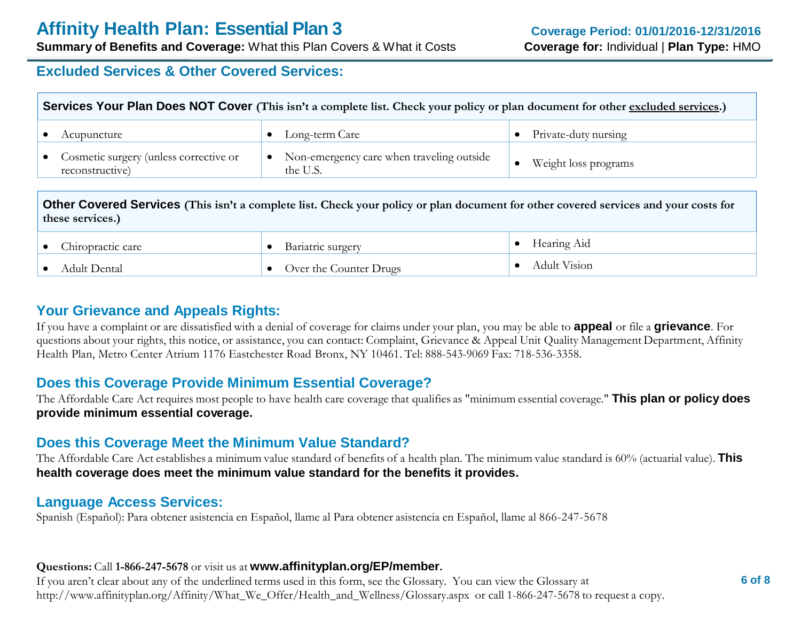# **Excluded Services & Other Covered Services:**

| Services Your Plan Does NOT Cover (This isn't a complete list. Check your policy or plan document for other excluded services.) |                                                       |                        |  |  |
|---------------------------------------------------------------------------------------------------------------------------------|-------------------------------------------------------|------------------------|--|--|
| Acupuncture                                                                                                                     | Long-term Care                                        | • Private-duty nursing |  |  |
| • Cosmetic surgery (unless corrective or<br>reconstructive)                                                                     | Non-emergency care when traveling outside<br>the U.S. | Weight loss programs   |  |  |

**Other Covered Services (This isn't a complete list. Check your policy or plan document for other covered services and your costs for these services.)**

| Chiropractic care | Bariatric surgery      | Hearing Aid  |
|-------------------|------------------------|--------------|
| Adult Dental      | Over the Counter Drugs | Adult Vision |

# **Your Grievance and Appeals Rights:**

If you have a complaint or are dissatisfied with a denial of coverage for claims under your plan, you may be able to **appeal** or file a **grievance**. For questions about your rights, this notice, or assistance, you can contact: Complaint, Grievance & Appeal Unit Quality Management Department, Affinity Health Plan, Metro Center Atrium 1176 Eastchester Road Bronx, NY 10461. Tel: 888-543-9069 Fax: 718-536-3358.

# **Does this Coverage Provide Minimum Essential Coverage?**

The Affordable Care Act requires most people to have health care coverage that qualifies as "minimum essential coverage." **This plan or policy does provide minimum essential coverage.**

# **Does this Coverage Meet the Minimum Value Standard?**

The Affordable Care Act establishes a minimum value standard of benefits of a health plan. The minimum value standard is 60% (actuarial value). **This health coverage does meet the minimum value standard for the benefits it provides.**

#### **Language Access Services:**

Spanish (Español): Para obtener asistencia en Español, llame al Para obtener asistencia en Español, llame al 866-247-5678

#### **Questions:** Call **1-866-247-5678** or visit us at **www.affinityplan.org/EP/member.**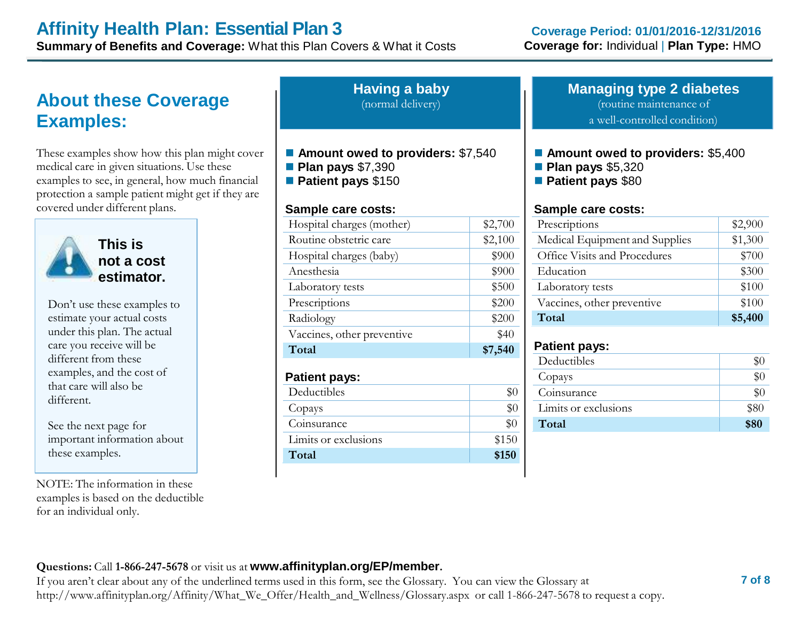# **Affinity Health Plan: Essential Plan 3**

**Summary of Benefits and Coverage:** What this Plan Covers & What it Costs

# **About these Coverage Examples:**

These examples show how this plan might cover medical care in given situations. Use these examples to see, in general, how much financial protection a sample patient might get if they are covered under different plans.



**This is not a cost estimator.**

Don't use these examples to estimate your actual costs under this plan. The actual care you receive will be different from these examples, and the cost of that care will also be different.

See the next page for important information about these examples.

NOTE: The information in these examples is based on the deductible for an individual only.

**Having a baby** (normal delivery)

- Amount owed to providers: \$7,540
- **Plan pays** \$7,390
- **Patient pays** \$150

#### **Sample care costs:**

| Hospital charges (mother)  | \$2,700 |
|----------------------------|---------|
| Routine obstetric care     | \$2,100 |
| Hospital charges (baby)    | \$900   |
| Anesthesia                 | \$900   |
| Laboratory tests           | \$500   |
| Prescriptions              | \$200   |
| Radiology                  | \$200   |
| Vaccines, other preventive | \$40    |
| Total                      | \$7,540 |
| <b>Patient pays:</b>       |         |
| Deductibles                | \$0     |
| Copays                     | \$0     |
| Coinsurance                | \$0     |
| Limits or exclusions       | \$150   |
| Total                      | \$150   |

#### **Managing type 2 diabetes** (routine maintenance of

a well-controlled condition)

- **Amount owed to providers: \$5,400**
- **Plan pays** \$5,320
- **Patient pays** \$80

#### **Sample care costs:**

| Prescriptions                  | \$2,900 |
|--------------------------------|---------|
| Medical Equipment and Supplies | \$1,300 |
| Office Visits and Procedures   | \$700   |
| Education                      | \$300   |
| Laboratory tests               | \$100   |
| Vaccines, other preventive     | \$100   |
| Total                          | \$5,400 |

#### **Patient pays:**

| Deductibles          |      |
|----------------------|------|
| Copays               |      |
| Coinsurance          |      |
| Limits or exclusions | \$80 |
| Total                | \$80 |

#### **Questions:** Call **1-866-247-5678** or visit us at **www.affinityplan.org/EP/member.**